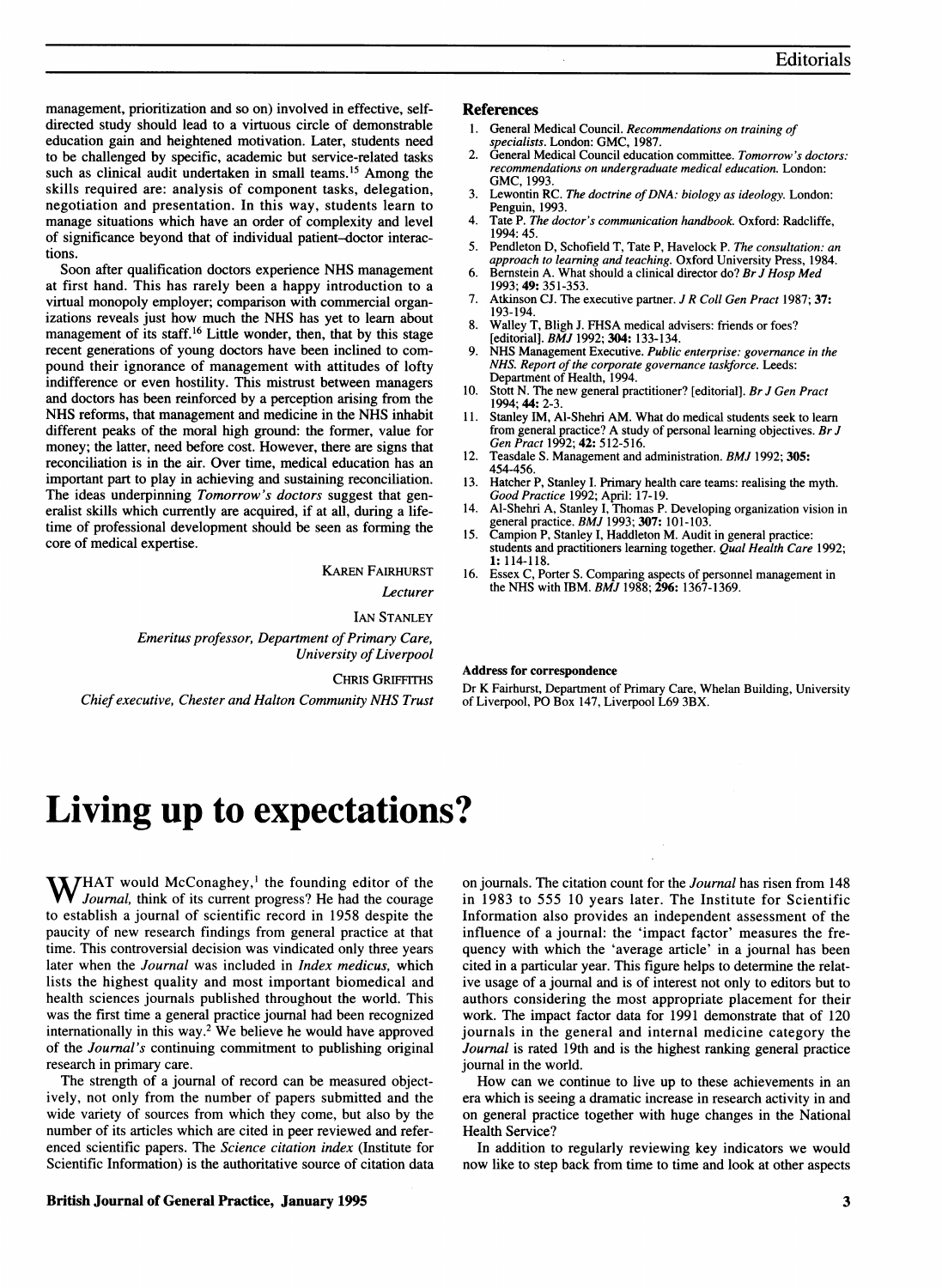management, prioritization and so on) involved in effective, selfdirected study should lead to a virtuous circle of demonstrable education gain and heightened motivation. Later, students need to be challenged by specific, academic but service-related tasks such as clinical audit undertaken in small teams.<sup>15</sup> Among the skills required are: analysis of component tasks, delegation, negotiation and presentation. In this way, students learn to manage situations which have an order of complexity and level of significance beyond that of individual patient-doctor interactions.

Soon after qualification doctors experience NHS management at first hand. This has rarely been a happy introduction to a virtual monopoly employer; comparison with commercial organizations reveals just how much the NHS has yet to learn about management of its staff.<sup>16</sup> Little wonder, then, that by this stage recent generations of young doctors have been inclined to compound their ignorance of management with attitudes of lofty indifference or even hostility. This mistrust between managers and doctors has been reinforced by a perception arising from the NHS reforms, that management and medicine in the NHS inhabit different peaks of the moral high ground: the former, value for money; the latter, need before cost. However, there are signs that reconciliation is in the air. Over time, medical education has an important part to play in achieving and sustaining reconciliation. The ideas underpinning *Tomorrow's doctors* suggest that generalist skills which currently are acquired, if at all, during a lifetime of professional development should be seen as forming the core of medical expertise.

KAREN FAIRHURST

Lecturer

IAN STANLEY Emeritus professor, Department of Primary Care, University of Liverpool

CHRIs GRIFFITHS

Chief executive, Chester and Halton Community NHS Trust

#### References

- General Medical Council. Recommendations on training of
- specialists. London: GMC, 1987.<br>2. General Medical Council education committee. Tomorrow's doctors: recommendations on undergraduate medical education. London: GMC, 1993.
- 3. Lewontin RC. The doctrine of DNA: biology as ideology. London: Penguin, 1993.
- 4. Tate P. The doctor's communication handbook. Oxford: Radcliffe, 1994: 45.
- 5. Pendleton D, Schofield T, Tate P, Havelock P. The consultation: an approach to learning and teaching. Oxford University Press, 1984.
- 6. Bernstein A. What should <sup>a</sup> clinical director do? Br J Hosp Med 1993; 49: 351-353.
- 7. Atkinson CJ. The executive partner. J R Coll Gen Pract 1987; 37: 193-194.
- 8. Walley T, Bligh J. FHSA medical advisers: friends or foes? [editorial]. BMJ 1992; 304: 133-134.
- NHS Management Executive. Public enterprise: governance in the NHS. Report of the corporate governance taskforce. Leeds: Department of Health, 1994.
- 10. Stott N. The new general practitioner? [editorial]. Br J Gen Pract 1994; 44: 2-3.
- 11. Stanley IM, Al-Shehri AM. What do medical students seek to learn from general practice? A study of personal learning objectives. Br J<br>Gen Pract 1992; 42: 512-516.
- 12. Teasdale S. Management and administration. *BMJ* 1992; 305:<br>454-456 454-456.
- 13. Hatcher P, Stanley I. Primary health care teams: realising the myth. Good Practice 1992; April: 17-19.
- 14. Al-Shehri A, Stanley I, Thomas P. Developing organization vision in general practice. BMJ 1993; 307: 101-103.
- 15. Campion P, Stanley I, Haddleton M. Audit in general practice: students and practitioners learning together. Qual Health Care 1992; 1: 114-118.
- 16. Essex C, Porter S. Comparing aspects of personnel management in the NHS with IBM.  $BMJ$  1988; 296: 1367-1369.

## Address for correspondence

Dr K Fairhurst, Department of Primary Care, Whelan Building, University of Liverpool, PO Box 147, Liverpool L69 3BX.

# Living up to expectations?

**WHAT** would McConaghey,<sup>1</sup> the founding editor of the Journal, think of its current progress? He had the courage to establish a journal of scientific record in 1958 despite the paucity of new research findings from general practice at that time. This controversial decision was vindicated only three years later when the Journal was included in Index medicus, which lists the highest quality and most important biomedical and health sciences journals published throughout the world. This was the first time a general practice journal had been recognized internationally in this way.2 We believe he would have approved of the Journal's continuing commitment to publishing original research in primary care.

The strength of a journal of record can be measured objectively, not only from the number of papers submitted and the wide variety of sources from which they come, but also by the number of its articles which are cited in peer reviewed and referenced scientific papers. The Science citation index (Institute for Scientific Information) is the authoritative source of citation data in 1983 to 555 10 years later. The Institute for Scientific Information also provides an independent assessment of the influence of a journal: the 'impact factor' measures the frequency with which the 'average article' in a journal has been cited in a particular year. This figure helps to determine the relative usage of a journal and is of interest not only to editors but to authors considering the most appropriate placement for their work. The impact factor data for 1991 demonstrate that of 120 journals in the general and internal medicine category the Journal is rated 19th and is the highest ranking general practice journal in the world. How can we continue to live up to these achievements in an

on journals. The citation count for the Journal has risen from 148

era which is seeing a dramatic increase in research activity in and on general practice together with huge changes in the National Health Service?

In addition to regularly reviewing key indicators we would now like to step back from time to time and look at other aspects